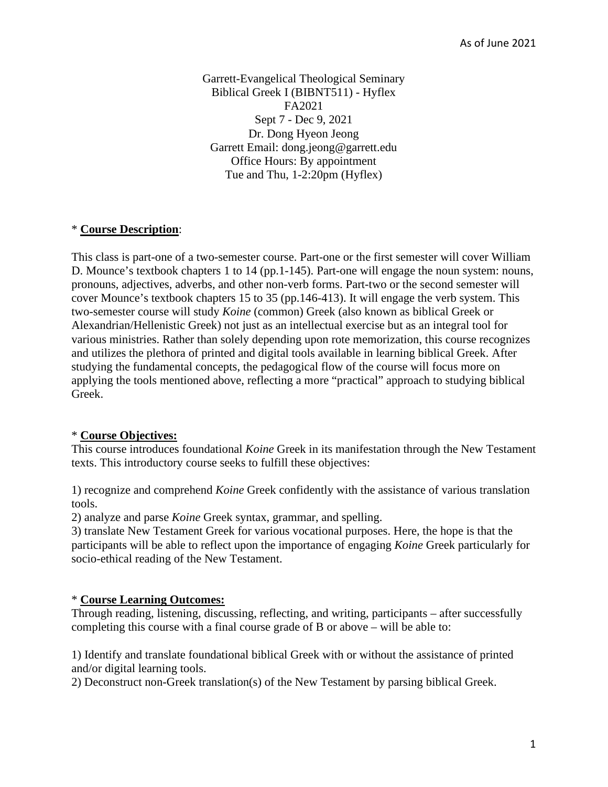Garrett-Evangelical Theological Seminary Biblical Greek I (BIBNT511) - Hyflex FA2021 Sept 7 - Dec 9, 2021 Dr. Dong Hyeon Jeong Garrett Email: dong.jeong@garrett.edu Office Hours: By appointment Tue and Thu, 1-2:20pm (Hyflex)

## \* **Course Description**:

This class is part-one of a two-semester course. Part-one or the first semester will cover William D. Mounce's textbook chapters 1 to 14 (pp.1-145). Part-one will engage the noun system: nouns, pronouns, adjectives, adverbs, and other non-verb forms. Part-two or the second semester will cover Mounce's textbook chapters 15 to 35 (pp.146-413). It will engage the verb system. This two-semester course will study *Koine* (common) Greek (also known as biblical Greek or Alexandrian/Hellenistic Greek) not just as an intellectual exercise but as an integral tool for various ministries. Rather than solely depending upon rote memorization, this course recognizes and utilizes the plethora of printed and digital tools available in learning biblical Greek. After studying the fundamental concepts, the pedagogical flow of the course will focus more on applying the tools mentioned above, reflecting a more "practical" approach to studying biblical Greek.

## \* **Course Objectives:**

This course introduces foundational *Koine* Greek in its manifestation through the New Testament texts. This introductory course seeks to fulfill these objectives:

1) recognize and comprehend *Koine* Greek confidently with the assistance of various translation tools.

2) analyze and parse *Koine* Greek syntax, grammar, and spelling.

3) translate New Testament Greek for various vocational purposes. Here, the hope is that the participants will be able to reflect upon the importance of engaging *Koine* Greek particularly for socio-ethical reading of the New Testament.

## \* **Course Learning Outcomes:**

Through reading, listening, discussing, reflecting, and writing, participants – after successfully completing this course with a final course grade of B or above – will be able to:

1) Identify and translate foundational biblical Greek with or without the assistance of printed and/or digital learning tools.

2) Deconstruct non-Greek translation(s) of the New Testament by parsing biblical Greek.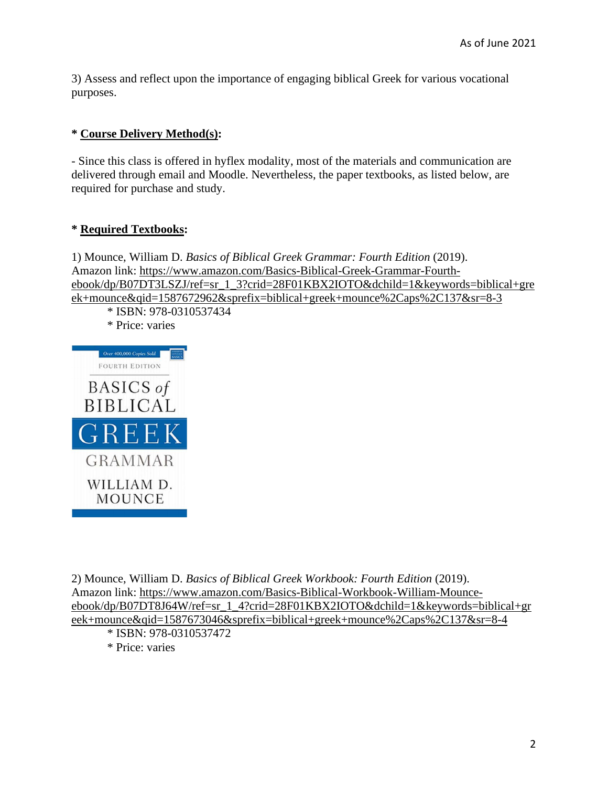3) Assess and reflect upon the importance of engaging biblical Greek for various vocational purposes.

# **\* Course Delivery Method(s):**

- Since this class is offered in hyflex modality, most of the materials and communication are delivered through email and Moodle. Nevertheless, the paper textbooks, as listed below, are required for purchase and study.

# **\* Required Textbooks:**

1) Mounce, William D. *Basics of Biblical Greek Grammar: Fourth Edition* (2019). Amazon link: https://www.amazon.com/Basics-Biblical-Greek-Grammar-Fourthebook/dp/B07DT3LSZJ/ref=sr\_1\_3?crid=28F01KBX2IOTO&dchild=1&keywords=biblical+gre ek+mounce&qid=1587672962&sprefix=biblical+greek+mounce%2Caps%2C137&sr=8-3

\* ISBN: 978-0310537434

\* Price: varies



2) Mounce, William D. *Basics of Biblical Greek Workbook: Fourth Edition* (2019). Amazon link: https://www.amazon.com/Basics-Biblical-Workbook-William-Mounceebook/dp/B07DT8J64W/ref=sr\_1\_4?crid=28F01KBX2IOTO&dchild=1&keywords=biblical+gr eek+mounce&qid=1587673046&sprefix=biblical+greek+mounce%2Caps%2C137&sr=8-4

- \* ISBN: 978-0310537472
- \* Price: varies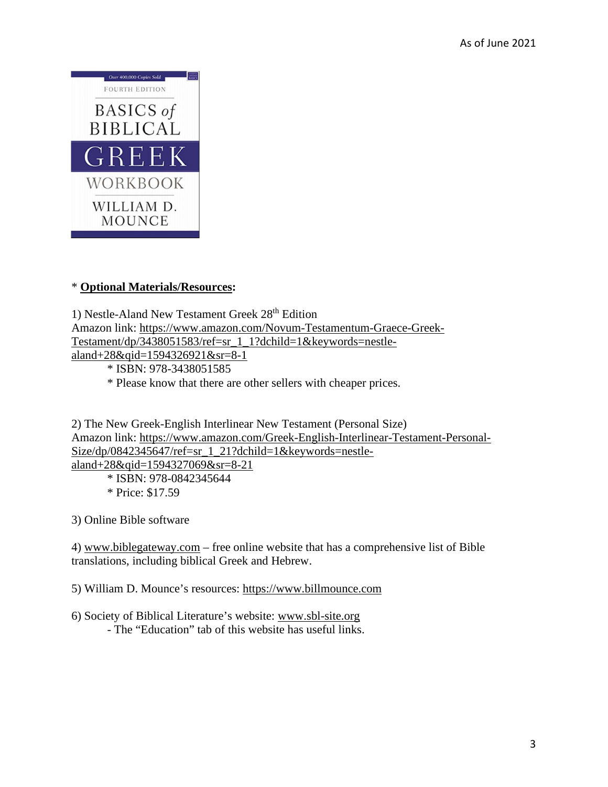

# \* **Optional Materials/Resources:**

1) Nestle-Aland New Testament Greek  $28<sup>th</sup>$  Edition Amazon link: https://www.amazon.com/Novum-Testamentum-Graece-Greek-Testament/dp/3438051583/ref=sr\_1\_1?dchild=1&keywords=nestlealand+28&qid=1594326921&sr=8-1

\* ISBN: 978-3438051585

\* Please know that there are other sellers with cheaper prices.

2) The New Greek-English Interlinear New Testament (Personal Size) Amazon link: https://www.amazon.com/Greek-English-Interlinear-Testament-Personal-Size/dp/0842345647/ref=sr\_1\_21?dchild=1&keywords=nestle-

aland+28&qid=1594327069&sr=8-21 \* ISBN: 978-0842345644

\* Price: \$17.59

3) Online Bible software

4) www.biblegateway.com – free online website that has a comprehensive list of Bible translations, including biblical Greek and Hebrew.

5) William D. Mounce's resources: https://www.billmounce.com

6) Society of Biblical Literature's website: www.sbl-site.org - The "Education" tab of this website has useful links.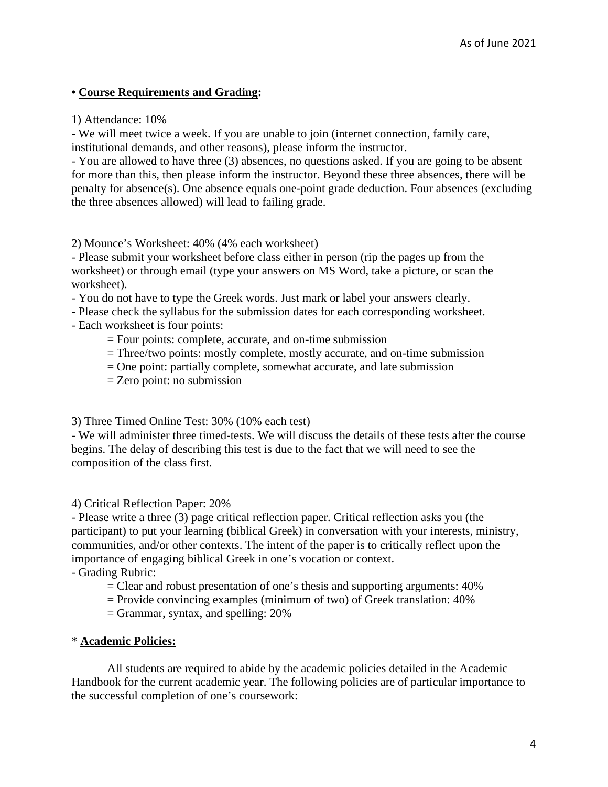# **• Course Requirements and Grading:**

1) Attendance: 10%

- We will meet twice a week. If you are unable to join (internet connection, family care, institutional demands, and other reasons), please inform the instructor.

- You are allowed to have three (3) absences, no questions asked. If you are going to be absent for more than this, then please inform the instructor. Beyond these three absences, there will be penalty for absence(s). One absence equals one-point grade deduction. Four absences (excluding the three absences allowed) will lead to failing grade.

2) Mounce's Worksheet: 40% (4% each worksheet)

- Please submit your worksheet before class either in person (rip the pages up from the worksheet) or through email (type your answers on MS Word, take a picture, or scan the worksheet).

- You do not have to type the Greek words. Just mark or label your answers clearly.

- Please check the syllabus for the submission dates for each corresponding worksheet.
- Each worksheet is four points:
	- = Four points: complete, accurate, and on-time submission
	- $=$  Three/two points: mostly complete, mostly accurate, and on-time submission
	- $=$  One point: partially complete, somewhat accurate, and late submission
	- = Zero point: no submission

3) Three Timed Online Test: 30% (10% each test)

- We will administer three timed-tests. We will discuss the details of these tests after the course begins. The delay of describing this test is due to the fact that we will need to see the composition of the class first.

4) Critical Reflection Paper: 20%

- Please write a three (3) page critical reflection paper. Critical reflection asks you (the participant) to put your learning (biblical Greek) in conversation with your interests, ministry, communities, and/or other contexts. The intent of the paper is to critically reflect upon the importance of engaging biblical Greek in one's vocation or context.

- Grading Rubric:

- = Clear and robust presentation of one's thesis and supporting arguments: 40%
- $=$  Provide convincing examples (minimum of two) of Greek translation:  $40\%$
- $=$  Grammar, syntax, and spelling: 20%

## \* **Academic Policies:**

 All students are required to abide by the academic policies detailed in the Academic Handbook for the current academic year. The following policies are of particular importance to the successful completion of one's coursework: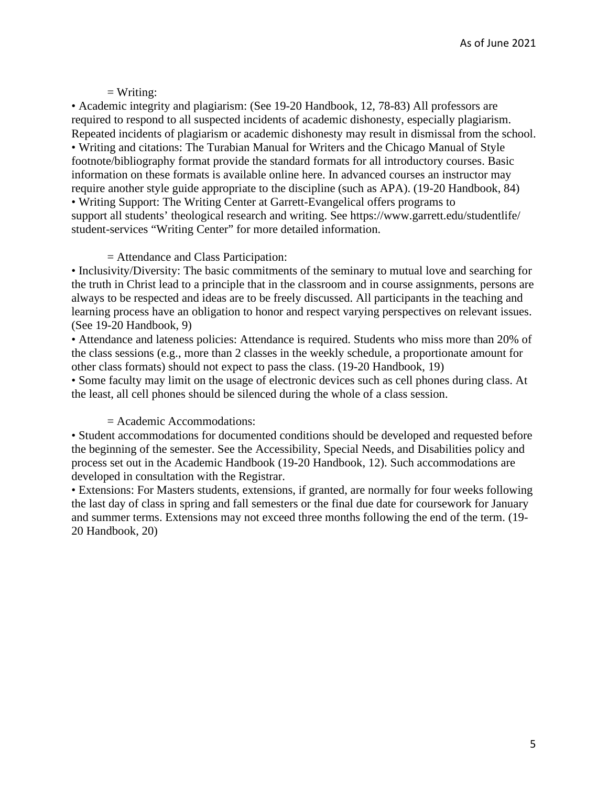# $=$  Writing:

• Academic integrity and plagiarism: (See 19-20 Handbook, 12, 78-83) All professors are required to respond to all suspected incidents of academic dishonesty, especially plagiarism. Repeated incidents of plagiarism or academic dishonesty may result in dismissal from the school. • Writing and citations: The Turabian Manual for Writers and the Chicago Manual of Style footnote/bibliography format provide the standard formats for all introductory courses. Basic information on these formats is available online here. In advanced courses an instructor may require another style guide appropriate to the discipline (such as APA). (19-20 Handbook, 84) • Writing Support: The Writing Center at Garrett-Evangelical offers programs to support all students' theological research and writing. See https://www.garrett.edu/studentlife/ student-services "Writing Center" for more detailed information.

## = Attendance and Class Participation:

• Inclusivity/Diversity: The basic commitments of the seminary to mutual love and searching for the truth in Christ lead to a principle that in the classroom and in course assignments, persons are always to be respected and ideas are to be freely discussed. All participants in the teaching and learning process have an obligation to honor and respect varying perspectives on relevant issues. (See 19-20 Handbook, 9)

• Attendance and lateness policies: Attendance is required. Students who miss more than 20% of the class sessions (e.g., more than 2 classes in the weekly schedule, a proportionate amount for other class formats) should not expect to pass the class. (19-20 Handbook, 19)

• Some faculty may limit on the usage of electronic devices such as cell phones during class. At the least, all cell phones should be silenced during the whole of a class session.

## = Academic Accommodations:

• Student accommodations for documented conditions should be developed and requested before the beginning of the semester. See the Accessibility, Special Needs, and Disabilities policy and process set out in the Academic Handbook (19-20 Handbook, 12). Such accommodations are developed in consultation with the Registrar.

• Extensions: For Masters students, extensions, if granted, are normally for four weeks following the last day of class in spring and fall semesters or the final due date for coursework for January and summer terms. Extensions may not exceed three months following the end of the term. (19- 20 Handbook, 20)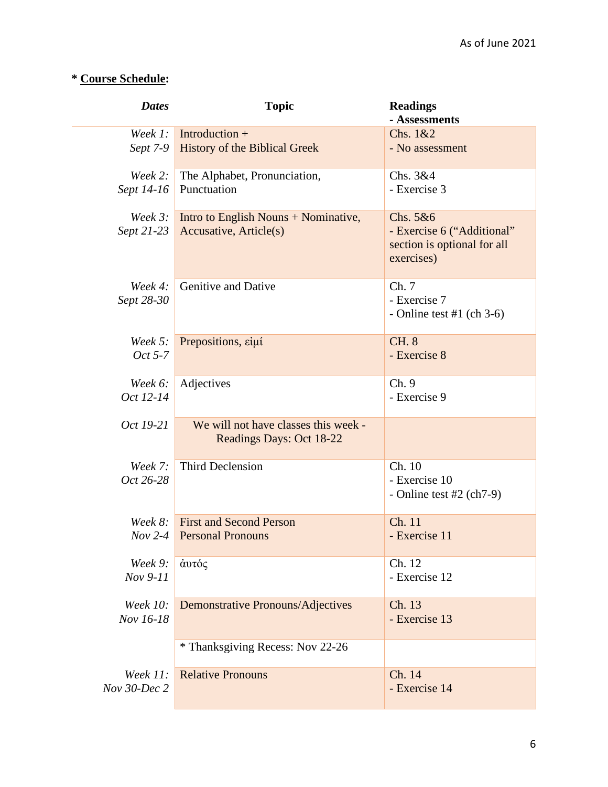# **\* Course Schedule:**

| <b>Dates</b>    | <b>Topic</b>                             | <b>Readings</b>                                                         |
|-----------------|------------------------------------------|-------------------------------------------------------------------------|
|                 |                                          | - Assessments                                                           |
| Week 1:         | Introduction $+$                         | Chs. 1&2                                                                |
| Sept 7-9        | <b>History of the Biblical Greek</b>     | - No assessment                                                         |
| Week $2$ :      | The Alphabet, Pronunciation,             | Chs. 3&4                                                                |
| Sept 14-16      | Punctuation                              | - Exercise 3                                                            |
| Week $3$ :      | Intro to English Nouns + Nominative,     | Chs. 5&6                                                                |
| Sept 21-23      | Accusative, Article(s)                   | - Exercise 6 ("Additional"<br>section is optional for all<br>exercises) |
| Week $4$ :      | Genitive and Dative                      | Ch.7                                                                    |
| Sept 28-30      |                                          | - Exercise 7                                                            |
|                 |                                          | - Online test #1 (ch $3-6$ )                                            |
| Week 5:         | Prepositions, είμί                       | <b>CH. 8</b>                                                            |
| Oct 5-7         |                                          | - Exercise 8                                                            |
| Week 6:         | Adjectives                               | Ch.9                                                                    |
| Oct 12-14       |                                          | - Exercise 9                                                            |
| Oct 19-21       | We will not have classes this week -     |                                                                         |
|                 | Readings Days: Oct 18-22                 |                                                                         |
| Week $7:$       | <b>Third Declension</b>                  | Ch. 10                                                                  |
| Oct 26-28       |                                          | - Exercise 10                                                           |
|                 |                                          | - Online test $#2$ (ch7-9)                                              |
| Week 8:         | <b>First and Second Person</b>           | Ch. 11                                                                  |
| $Nov 2-4$       | <b>Personal Pronouns</b>                 | - Exercise 11                                                           |
| Week 9:         | άυτός                                    | Ch. 12                                                                  |
| Nov 9-11        |                                          | - Exercise 12                                                           |
| <b>Week 10:</b> | <b>Demonstrative Pronouns/Adjectives</b> | Ch. 13                                                                  |
| Nov 16-18       |                                          | - Exercise 13                                                           |
|                 | * Thanksgiving Recess: Nov 22-26         |                                                                         |
| <i>Week 11:</i> | <b>Relative Pronouns</b>                 | Ch. 14                                                                  |
| Nov 30-Dec 2    |                                          | - Exercise 14                                                           |